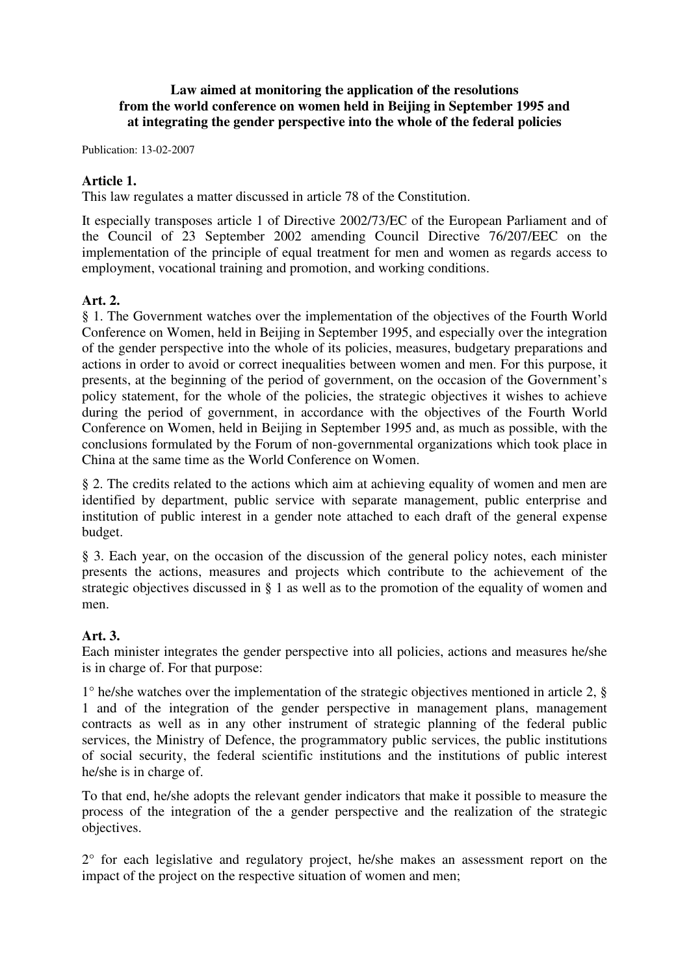## **Law aimed at monitoring the application of the resolutions from the world conference on women held in Beijing in September 1995 and at integrating the gender perspective into the whole of the federal policies**

Publication: 13-02-2007

### **Article 1.**

This law regulates a matter discussed in article 78 of the Constitution.

It especially transposes article 1 of Directive 2002/73/EC of the European Parliament and of the Council of 23 September 2002 amending Council Directive 76/207/EEC on the implementation of the principle of equal treatment for men and women as regards access to employment, vocational training and promotion, and working conditions.

#### **Art. 2.**

§ 1. The Government watches over the implementation of the objectives of the Fourth World Conference on Women, held in Beijing in September 1995, and especially over the integration of the gender perspective into the whole of its policies, measures, budgetary preparations and actions in order to avoid or correct inequalities between women and men. For this purpose, it presents, at the beginning of the period of government, on the occasion of the Government's policy statement, for the whole of the policies, the strategic objectives it wishes to achieve during the period of government, in accordance with the objectives of the Fourth World Conference on Women, held in Beijing in September 1995 and, as much as possible, with the conclusions formulated by the Forum of non-governmental organizations which took place in China at the same time as the World Conference on Women.

§ 2. The credits related to the actions which aim at achieving equality of women and men are identified by department, public service with separate management, public enterprise and institution of public interest in a gender note attached to each draft of the general expense budget.

§ 3. Each year, on the occasion of the discussion of the general policy notes, each minister presents the actions, measures and projects which contribute to the achievement of the strategic objectives discussed in § 1 as well as to the promotion of the equality of women and men.

## **Art. 3.**

Each minister integrates the gender perspective into all policies, actions and measures he/she is in charge of. For that purpose:

1° he/she watches over the implementation of the strategic objectives mentioned in article 2, § 1 and of the integration of the gender perspective in management plans, management contracts as well as in any other instrument of strategic planning of the federal public services, the Ministry of Defence, the programmatory public services, the public institutions of social security, the federal scientific institutions and the institutions of public interest he/she is in charge of.

To that end, he/she adopts the relevant gender indicators that make it possible to measure the process of the integration of the a gender perspective and the realization of the strategic objectives.

2° for each legislative and regulatory project, he/she makes an assessment report on the impact of the project on the respective situation of women and men;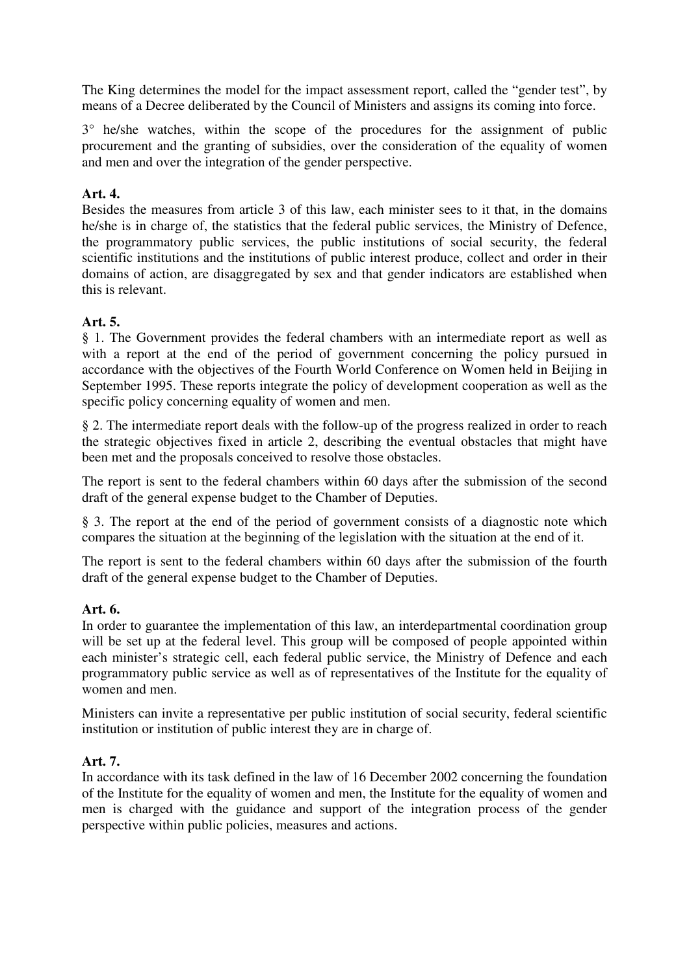The King determines the model for the impact assessment report, called the "gender test", by means of a Decree deliberated by the Council of Ministers and assigns its coming into force.

3° he/she watches, within the scope of the procedures for the assignment of public procurement and the granting of subsidies, over the consideration of the equality of women and men and over the integration of the gender perspective.

# **Art. 4.**

Besides the measures from article 3 of this law, each minister sees to it that, in the domains he/she is in charge of, the statistics that the federal public services, the Ministry of Defence, the programmatory public services, the public institutions of social security, the federal scientific institutions and the institutions of public interest produce, collect and order in their domains of action, are disaggregated by sex and that gender indicators are established when this is relevant.

## **Art. 5.**

§ 1. The Government provides the federal chambers with an intermediate report as well as with a report at the end of the period of government concerning the policy pursued in accordance with the objectives of the Fourth World Conference on Women held in Beijing in September 1995. These reports integrate the policy of development cooperation as well as the specific policy concerning equality of women and men.

§ 2. The intermediate report deals with the follow-up of the progress realized in order to reach the strategic objectives fixed in article 2, describing the eventual obstacles that might have been met and the proposals conceived to resolve those obstacles.

The report is sent to the federal chambers within 60 days after the submission of the second draft of the general expense budget to the Chamber of Deputies.

§ 3. The report at the end of the period of government consists of a diagnostic note which compares the situation at the beginning of the legislation with the situation at the end of it.

The report is sent to the federal chambers within 60 days after the submission of the fourth draft of the general expense budget to the Chamber of Deputies.

## **Art. 6.**

In order to guarantee the implementation of this law, an interdepartmental coordination group will be set up at the federal level. This group will be composed of people appointed within each minister's strategic cell, each federal public service, the Ministry of Defence and each programmatory public service as well as of representatives of the Institute for the equality of women and men.

Ministers can invite a representative per public institution of social security, federal scientific institution or institution of public interest they are in charge of.

## **Art. 7.**

In accordance with its task defined in the law of 16 December 2002 concerning the foundation of the Institute for the equality of women and men, the Institute for the equality of women and men is charged with the guidance and support of the integration process of the gender perspective within public policies, measures and actions.